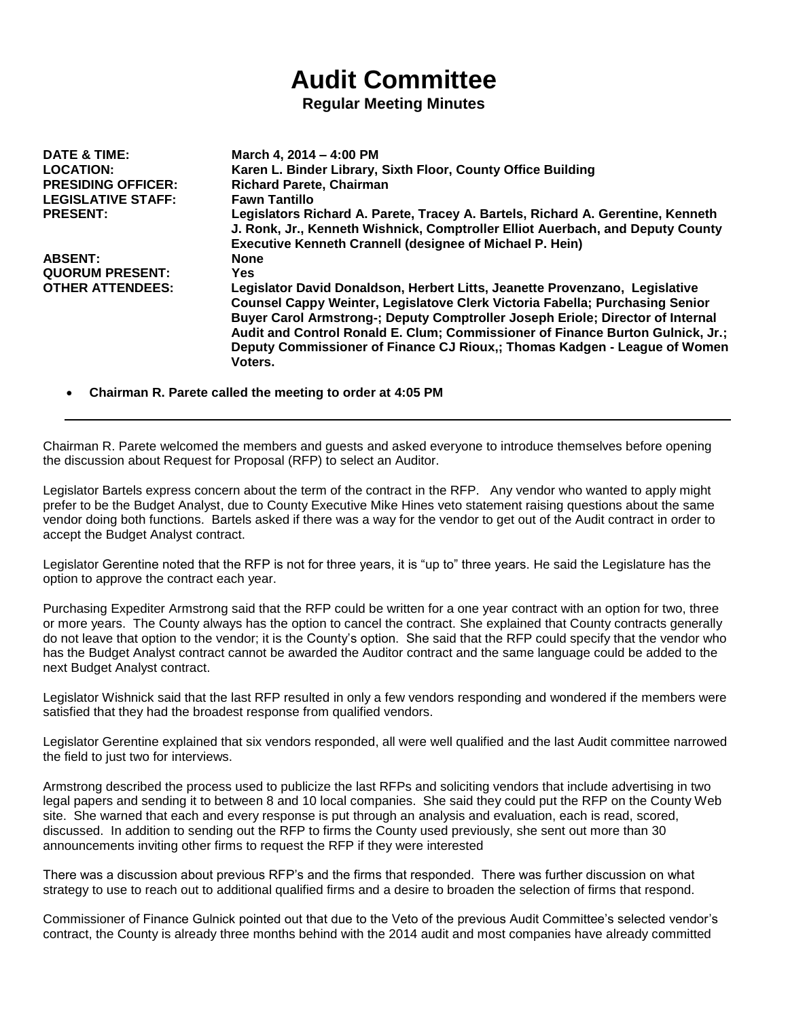## **Audit Committee**

## **Regular Meeting Minutes**

| DATE & TIME:<br><b>LOCATION:</b><br><b>PRESIDING OFFICER:</b><br><b>LEGISLATIVE STAFF:</b><br><b>PRESENT:</b> | March 4, 2014 - 4:00 PM<br>Karen L. Binder Library, Sixth Floor, County Office Building<br><b>Richard Parete, Chairman</b><br><b>Fawn Tantillo</b><br>Legislators Richard A. Parete, Tracey A. Bartels, Richard A. Gerentine, Kenneth                                                                                                                                                                                   |
|---------------------------------------------------------------------------------------------------------------|-------------------------------------------------------------------------------------------------------------------------------------------------------------------------------------------------------------------------------------------------------------------------------------------------------------------------------------------------------------------------------------------------------------------------|
|                                                                                                               | J. Ronk, Jr., Kenneth Wishnick, Comptroller Elliot Auerbach, and Deputy County<br><b>Executive Kenneth Crannell (designee of Michael P. Hein)</b>                                                                                                                                                                                                                                                                       |
| <b>ABSENT:</b>                                                                                                | <b>None</b>                                                                                                                                                                                                                                                                                                                                                                                                             |
| <b>QUORUM PRESENT:</b>                                                                                        | <b>Yes</b>                                                                                                                                                                                                                                                                                                                                                                                                              |
| <b>OTHER ATTENDEES:</b>                                                                                       | Legislator David Donaldson, Herbert Litts, Jeanette Provenzano, Legislative<br>Counsel Cappy Weinter, Legislatove Clerk Victoria Fabella; Purchasing Senior<br>Buyer Carol Armstrong-; Deputy Comptroller Joseph Eriole; Director of Internal<br>Audit and Control Ronald E. Clum; Commissioner of Finance Burton Gulnick, Jr.;<br>Deputy Commissioner of Finance CJ Rioux,; Thomas Kadgen - League of Women<br>Voters. |

**Chairman R. Parete called the meeting to order at 4:05 PM**

Chairman R. Parete welcomed the members and guests and asked everyone to introduce themselves before opening the discussion about Request for Proposal (RFP) to select an Auditor.

Legislator Bartels express concern about the term of the contract in the RFP. Any vendor who wanted to apply might prefer to be the Budget Analyst, due to County Executive Mike Hines veto statement raising questions about the same vendor doing both functions. Bartels asked if there was a way for the vendor to get out of the Audit contract in order to accept the Budget Analyst contract.

Legislator Gerentine noted that the RFP is not for three years, it is "up to" three years. He said the Legislature has the option to approve the contract each year.

Purchasing Expediter Armstrong said that the RFP could be written for a one year contract with an option for two, three or more years. The County always has the option to cancel the contract. She explained that County contracts generally do not leave that option to the vendor; it is the County's option. She said that the RFP could specify that the vendor who has the Budget Analyst contract cannot be awarded the Auditor contract and the same language could be added to the next Budget Analyst contract.

Legislator Wishnick said that the last RFP resulted in only a few vendors responding and wondered if the members were satisfied that they had the broadest response from qualified vendors.

Legislator Gerentine explained that six vendors responded, all were well qualified and the last Audit committee narrowed the field to just two for interviews.

Armstrong described the process used to publicize the last RFPs and soliciting vendors that include advertising in two legal papers and sending it to between 8 and 10 local companies. She said they could put the RFP on the County Web site. She warned that each and every response is put through an analysis and evaluation, each is read, scored, discussed. In addition to sending out the RFP to firms the County used previously, she sent out more than 30 announcements inviting other firms to request the RFP if they were interested

There was a discussion about previous RFP's and the firms that responded. There was further discussion on what strategy to use to reach out to additional qualified firms and a desire to broaden the selection of firms that respond.

Commissioner of Finance Gulnick pointed out that due to the Veto of the previous Audit Committee's selected vendor's contract, the County is already three months behind with the 2014 audit and most companies have already committed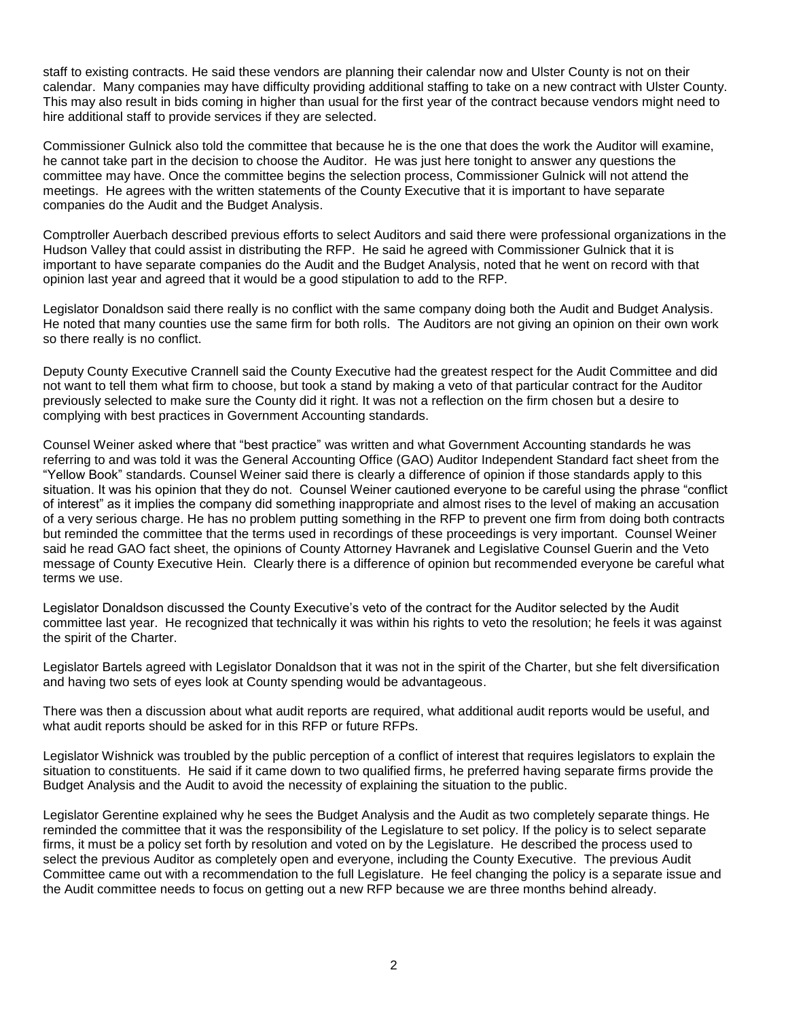staff to existing contracts. He said these vendors are planning their calendar now and Ulster County is not on their calendar. Many companies may have difficulty providing additional staffing to take on a new contract with Ulster County. This may also result in bids coming in higher than usual for the first year of the contract because vendors might need to hire additional staff to provide services if they are selected.

Commissioner Gulnick also told the committee that because he is the one that does the work the Auditor will examine, he cannot take part in the decision to choose the Auditor. He was just here tonight to answer any questions the committee may have. Once the committee begins the selection process, Commissioner Gulnick will not attend the meetings. He agrees with the written statements of the County Executive that it is important to have separate companies do the Audit and the Budget Analysis.

Comptroller Auerbach described previous efforts to select Auditors and said there were professional organizations in the Hudson Valley that could assist in distributing the RFP. He said he agreed with Commissioner Gulnick that it is important to have separate companies do the Audit and the Budget Analysis, noted that he went on record with that opinion last year and agreed that it would be a good stipulation to add to the RFP.

Legislator Donaldson said there really is no conflict with the same company doing both the Audit and Budget Analysis. He noted that many counties use the same firm for both rolls. The Auditors are not giving an opinion on their own work so there really is no conflict.

Deputy County Executive Crannell said the County Executive had the greatest respect for the Audit Committee and did not want to tell them what firm to choose, but took a stand by making a veto of that particular contract for the Auditor previously selected to make sure the County did it right. It was not a reflection on the firm chosen but a desire to complying with best practices in Government Accounting standards.

Counsel Weiner asked where that "best practice" was written and what Government Accounting standards he was referring to and was told it was the General Accounting Office (GAO) Auditor Independent Standard fact sheet from the "Yellow Book" standards. Counsel Weiner said there is clearly a difference of opinion if those standards apply to this situation. It was his opinion that they do not. Counsel Weiner cautioned everyone to be careful using the phrase "conflict of interest" as it implies the company did something inappropriate and almost rises to the level of making an accusation of a very serious charge. He has no problem putting something in the RFP to prevent one firm from doing both contracts but reminded the committee that the terms used in recordings of these proceedings is very important. Counsel Weiner said he read GAO fact sheet, the opinions of County Attorney Havranek and Legislative Counsel Guerin and the Veto message of County Executive Hein. Clearly there is a difference of opinion but recommended everyone be careful what terms we use.

Legislator Donaldson discussed the County Executive's veto of the contract for the Auditor selected by the Audit committee last year. He recognized that technically it was within his rights to veto the resolution; he feels it was against the spirit of the Charter.

Legislator Bartels agreed with Legislator Donaldson that it was not in the spirit of the Charter, but she felt diversification and having two sets of eyes look at County spending would be advantageous.

There was then a discussion about what audit reports are required, what additional audit reports would be useful, and what audit reports should be asked for in this RFP or future RFPs.

Legislator Wishnick was troubled by the public perception of a conflict of interest that requires legislators to explain the situation to constituents. He said if it came down to two qualified firms, he preferred having separate firms provide the Budget Analysis and the Audit to avoid the necessity of explaining the situation to the public.

Legislator Gerentine explained why he sees the Budget Analysis and the Audit as two completely separate things. He reminded the committee that it was the responsibility of the Legislature to set policy. If the policy is to select separate firms, it must be a policy set forth by resolution and voted on by the Legislature. He described the process used to select the previous Auditor as completely open and everyone, including the County Executive. The previous Audit Committee came out with a recommendation to the full Legislature. He feel changing the policy is a separate issue and the Audit committee needs to focus on getting out a new RFP because we are three months behind already.